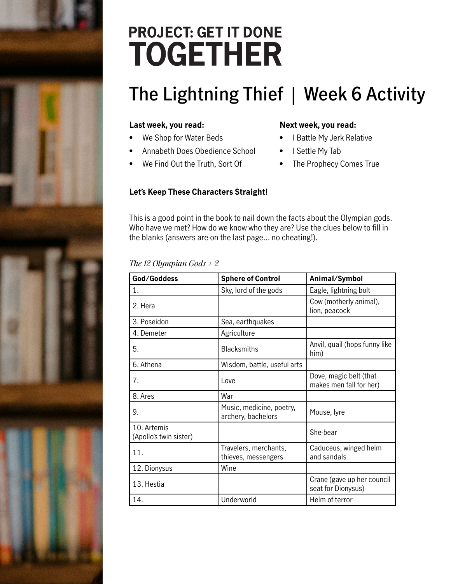## **PROJECT: GET IT DONE TOGETHER**

### **The Lightning Thief | Week 6 Activity**

#### **Last week, you read:**

- We Shop for Water Beds
- Annabeth Does Obedience School
- We Find Out the Truth, Sort Of

#### **Next week, you read:**

- I Battle My Jerk Relative
- I Settle My Tab
- The Prophecy Comes True

### **Let's Keep These Characters Straight!**

This is a good point in the book to nail down the facts about the Olympian gods. Who have we met? How do we know who they are? Use the clues below to fill in the blanks (answers are on the last page… no cheating!).

#### *The 12 Olympian Gods + 2*

| God/Goddess                           | <b>Sphere of Control</b>                       | Animal/Symbol                                     |
|---------------------------------------|------------------------------------------------|---------------------------------------------------|
| 1.                                    | Sky, lord of the gods                          | Eagle, lightning bolt                             |
| 2. Hera                               |                                                | Cow (motherly animal),<br>lion, peacock           |
| 3. Poseidon                           | Sea, earthquakes                               |                                                   |
| 4. Demeter                            | Agriculture                                    |                                                   |
| 5.                                    | <b>Blacksmiths</b>                             | Anvil, quail (hops funny like<br>him)             |
| 6. Athena                             | Wisdom, battle, useful arts                    |                                                   |
| 7.                                    | Love                                           | Dove, magic belt (that<br>makes men fall for her) |
| 8. Ares                               | War                                            |                                                   |
| 9.                                    | Music, medicine, poetry,<br>archery, bachelors | Mouse, lyre                                       |
| 10. Artemis<br>(Apollo's twin sister) |                                                | She-bear                                          |
| 11.                                   | Travelers, merchants,<br>thieves, messengers   | Caduceus, winged helm<br>and sandals              |
| 12. Dionysus                          | Wine                                           |                                                   |
| 13. Hestia                            |                                                | Crane (gave up her council<br>seat for Dionysus)  |
| 14.                                   | Underworld                                     | Helm of terror                                    |

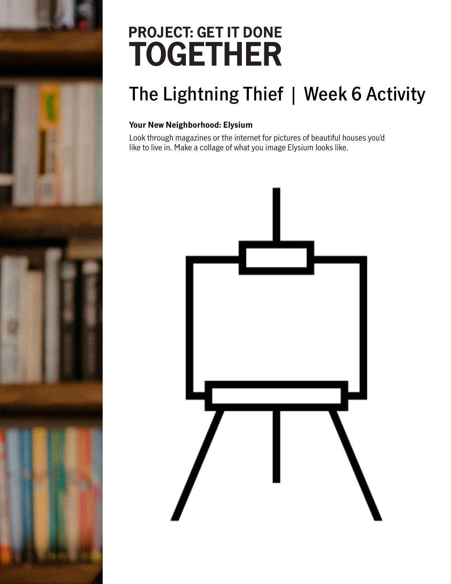## **PROJECT: GET IT DONE TOGETHER**

### **The Lightning Thief | Week 6 Activity**

### **Your New Neighborhood: Elysium**

Look through magazines or the internet for pictures of beautiful houses you'd like to live in. Make a collage of what you image Elysium looks like.